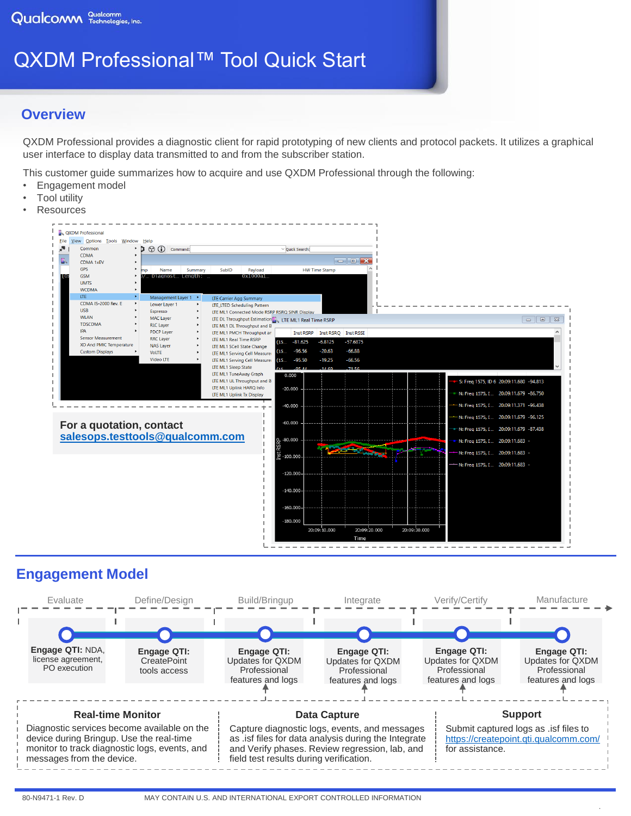# QXDM Professional™ Tool Quick Start

### **Overview**

QXDM Professional provides a diagnostic client for rapid prototyping of new clients and protocol packets. It utilizes a graphical user interface to display data transmitted to and from the subscriber station.

This customer guide summarizes how to acquire and use QXDM Professional through the following:

- Engagement model
- **Tool utility**
- **Resources**



## **Engagement Model**



.